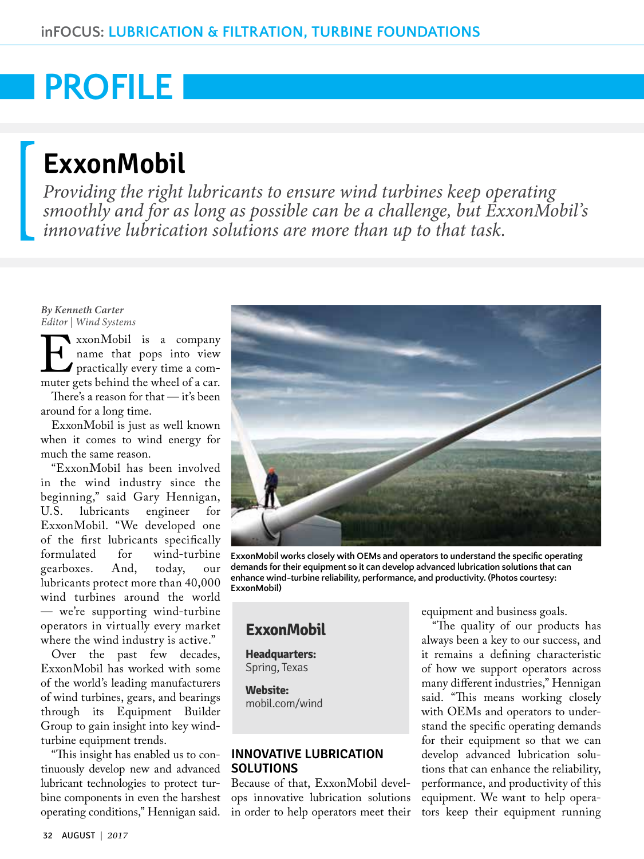# **PROFILE**

## **ExxonMobil**

*Providing the right lubricants to ensure wind turbines keep operating smoothly and for as long as possible can be a challenge, but ExxonMobil's innovative lubrication solutions are more than up to that task.*

#### *By Kenneth Carter Editor | Wind Systems*

ExxonMobil is a company<br>name that pops into view<br>practically every time a com-<br>muter gets behind the wheel of a car. name that pops into view practically every time a commuter gets behind the wheel of a car.

There's a reason for that — it's been around for a long time.

ExxonMobil is just as well known when it comes to wind energy for much the same reason.

"ExxonMobil has been involved in the wind industry since the beginning," said Gary Hennigan,<br>U.S. lubricants engineer for U.S. lubricants engineer for ExxonMobil. "We developed one of the first lubricants specifically<br>formulated for wind-turbine for wind-turbine<br>And, today, our gearboxes. And, today, our lubricants protect more than 40,000 wind turbines around the world — we're supporting wind-turbine operators in virtually every market where the wind industry is active."

Over the past few decades, ExxonMobil has worked with some of the world's leading manufacturers of wind turbines, gears, and bearings through its Equipment Builder Group to gain insight into key windturbine equipment trends.

"This insight has enabled us to continuously develop new and advanced lubricant technologies to protect turbine components in even the harshest operating conditions," Hennigan said.



**ExxonMobil works closely with OEMs and operators to understand the specific operating demands for their equipment so it can develop advanced lubrication solutions that can enhance wind-turbine reliability, performance, and productivity. (Photos courtesy: ExxonMobil)**

### **[ExxonMobil](http://mobil.com/wind)**

**Headquarters:**  Spring, Texas

**Website:**  mobil.com/wind

#### **INNOVATIVE LUBRICATION SOLUTIONS**

Because of that, ExxonMobil develops innovative lubrication solutions in order to help operators meet their equipment and business goals.

"The quality of our products has always been a key to our success, and it remains a defining characteristic of how we support operators across many different industries," Hennigan said. "This means working closely with OEMs and operators to understand the specific operating demands for their equipment so that we can develop advanced lubrication solutions that can enhance the reliability, performance, and productivity of this equipment. We want to help operators keep their equipment running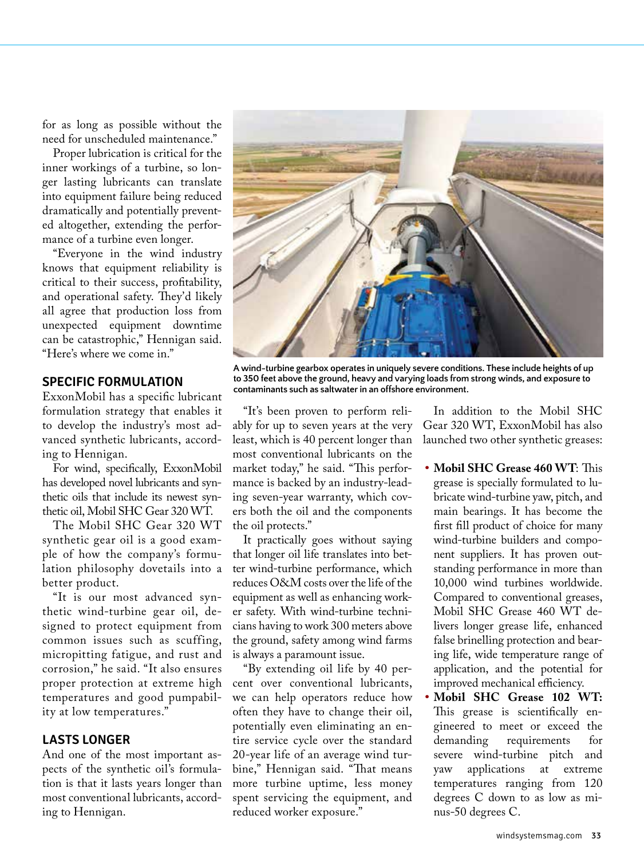for as long as possible without the need for unscheduled maintenance."

Proper lubrication is critical for the inner workings of a turbine, so longer lasting lubricants can translate into equipment failure being reduced dramatically and potentially prevented altogether, extending the performance of a turbine even longer.

"Everyone in the wind industry knows that equipment reliability is critical to their success, profitability, and operational safety. They'd likely all agree that production loss from unexpected equipment downtime can be catastrophic," Hennigan said. "Here's where we come in."

#### **SPECIFIC FORMULATION**

ExxonMobil has a specific lubricant formulation strategy that enables it to develop the industry's most advanced synthetic lubricants, according to Hennigan.

For wind, specifically, ExxonMobil has developed novel lubricants and synthetic oils that include its newest synthetic oil, Mobil SHC Gear 320 WT.

The Mobil SHC Gear 320 WT synthetic gear oil is a good example of how the company's formulation philosophy dovetails into a better product.

"It is our most advanced synthetic wind-turbine gear oil, designed to protect equipment from common issues such as scuffing, micropitting fatigue, and rust and corrosion," he said. "It also ensures proper protection at extreme high temperatures and good pumpability at low temperatures."

#### **LASTS LONGER**

And one of the most important aspects of the synthetic oil's formulation is that it lasts years longer than most conventional lubricants, according to Hennigan.



**A wind-turbine gearbox operates in uniquely severe conditions. These include heights of up to 350 feet above the ground, heavy and varying loads from strong winds, and exposure to contaminants such as saltwater in an offshore environment.**

"It's been proven to perform reliably for up to seven years at the very least, which is 40 percent longer than most conventional lubricants on the market today," he said. "This performance is backed by an industry-leading seven-year warranty, which covers both the oil and the components the oil protects."

It practically goes without saying that longer oil life translates into better wind-turbine performance, which reduces O&M costs over the life of the equipment as well as enhancing worker safety. With wind-turbine technicians having to work 300 meters above the ground, safety among wind farms is always a paramount issue.

"By extending oil life by 40 percent over conventional lubricants, we can help operators reduce how often they have to change their oil, potentially even eliminating an entire service cycle over the standard 20-year life of an average wind turbine," Hennigan said. "That means more turbine uptime, less money spent servicing the equipment, and reduced worker exposure."

In addition to the Mobil SHC Gear 320 WT, ExxonMobil has also launched two other synthetic greases:

- **• Mobil SHC Grease 460 WT**: This grease is specially formulated to lubricate wind-turbine yaw, pitch, and main bearings. It has become the first fill product of choice for many wind-turbine builders and component suppliers. It has proven outstanding performance in more than 10,000 wind turbines worldwide. Compared to conventional greases, Mobil SHC Grease 460 WT delivers longer grease life, enhanced false brinelling protection and bearing life, wide temperature range of application, and the potential for improved mechanical efficiency.
- **• Mobil SHC Grease 102 WT:**  This grease is scientifically engineered to meet or exceed the demanding requirements for severe wind-turbine pitch and yaw applications at extreme temperatures ranging from 120 degrees C down to as low as minus-50 degrees C.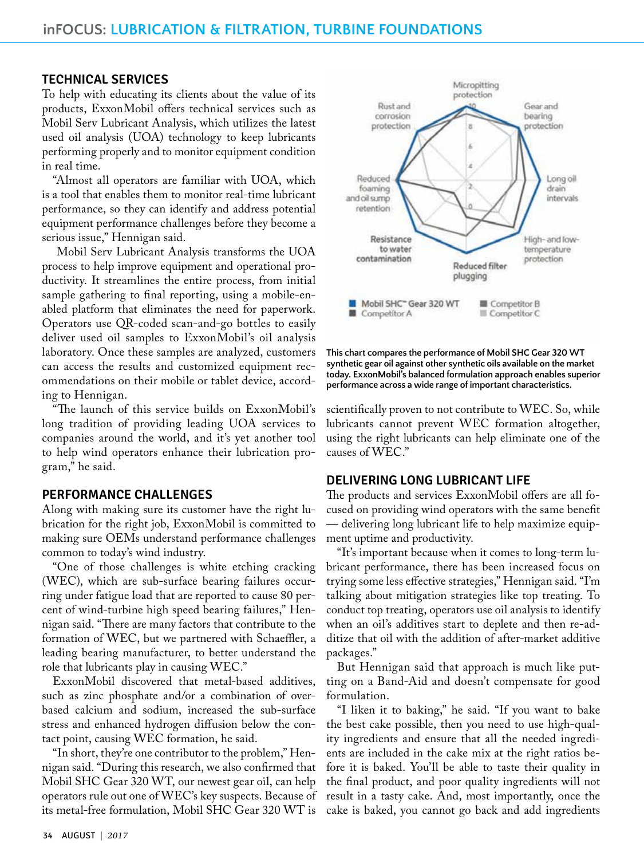#### **TECHNICAL SERVICES**

To help with educating its clients about the value of its products, ExxonMobil offers technical services such as Mobil Serv Lubricant Analysis, which utilizes the latest used oil analysis (UOA) technology to keep lubricants performing properly and to monitor equipment condition in real time.

"Almost all operators are familiar with UOA, which is a tool that enables them to monitor real-time lubricant performance, so they can identify and address potential equipment performance challenges before they become a serious issue," Hennigan said.

 Mobil Serv Lubricant Analysis transforms the UOA process to help improve equipment and operational productivity. It streamlines the entire process, from initial sample gathering to final reporting, using a mobile-enabled platform that eliminates the need for paperwork. Operators use QR-coded scan-and-go bottles to easily deliver used oil samples to ExxonMobil's oil analysis laboratory. Once these samples are analyzed, customers can access the results and customized equipment recommendations on their mobile or tablet device, according to Hennigan.

"The launch of this service builds on ExxonMobil's long tradition of providing leading UOA services to companies around the world, and it's yet another tool to help wind operators enhance their lubrication program," he said.

#### **PERFORMANCE CHALLENGES**

Along with making sure its customer have the right lubrication for the right job, ExxonMobil is committed to making sure OEMs understand performance challenges common to today's wind industry.

"One of those challenges is white etching cracking (WEC), which are sub-surface bearing failures occurring under fatigue load that are reported to cause 80 percent of wind-turbine high speed bearing failures," Hennigan said. "There are many factors that contribute to the formation of WEC, but we partnered with Schaeffler, a leading bearing manufacturer, to better understand the role that lubricants play in causing WEC."

ExxonMobil discovered that metal-based additives, such as zinc phosphate and/or a combination of overbased calcium and sodium, increased the sub-surface stress and enhanced hydrogen diffusion below the contact point, causing WEC formation, he said.

"In short, they're one contributor to the problem," Hennigan said. "During this research, we also confirmed that Mobil SHC Gear 320 WT, our newest gear oil, can help operators rule out one of WEC's key suspects. Because of its metal-free formulation, Mobil SHC Gear 320 WT is



**This chart compares the performance of Mobil SHC Gear 320 WT synthetic gear oil against other synthetic oils available on the market today. ExxonMobil's balanced formulation approach enables superior performance across a wide range of important characteristics.** 

scientifically proven to not contribute to WEC. So, while lubricants cannot prevent WEC formation altogether, using the right lubricants can help eliminate one of the causes of WEC."

#### **DELIVERING LONG LUBRICANT LIFE**

The products and services ExxonMobil offers are all focused on providing wind operators with the same benefit — delivering long lubricant life to help maximize equipment uptime and productivity.

"It's important because when it comes to long-term lubricant performance, there has been increased focus on trying some less effective strategies," Hennigan said. "I'm talking about mitigation strategies like top treating. To conduct top treating, operators use oil analysis to identify when an oil's additives start to deplete and then re-additize that oil with the addition of after-market additive packages."

But Hennigan said that approach is much like putting on a Band-Aid and doesn't compensate for good formulation.

"I liken it to baking," he said. "If you want to bake the best cake possible, then you need to use high-quality ingredients and ensure that all the needed ingredients are included in the cake mix at the right ratios before it is baked. You'll be able to taste their quality in the final product, and poor quality ingredients will not result in a tasty cake. And, most importantly, once the cake is baked, you cannot go back and add ingredients